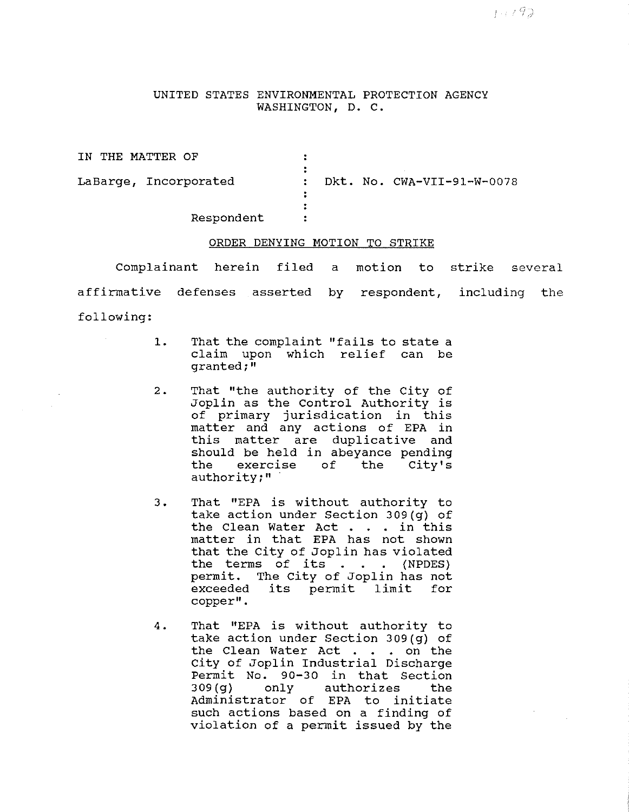UNITED STATES ENVIRONMENTAL PROTECTION AGENCY WASHINGTON, D. C.

| IN THE MATTER OF      |                                            |
|-----------------------|--------------------------------------------|
| LaBarge, Incorporated | Dkt. No. CWA-VII-91-W-0078<br>$\mathbf{r}$ |
| Respondent            |                                            |

## ORDER DENYING MOTION TO STRIKE

Complainant herein filed a motion to strike several affirmative defenses asserted by respondent, including the following:

- 1. That the complaint "fails to state a claim upon which relief can be granted;"
- 2. That "the authority of the City of Joplin as the Control Authority is of primary jurisdication in this matter and any actions of EPA in this matter are duplicative and should be held in abeyance pending<br>the exercise of the City's the exercise authority;"
- 3. That "EPA is without authority to take action under Section 309(g) of the Clean Water Act . . in this matter in that EPA has not shown that the City of Joplin has violated the terms of its  $\blacksquare$ . (NPDES) permit. The City of Joplin has not exceeded its permit limit for copper".
- 4. That "EPA is without authority to take action under Section 309(g) of the Clean Water Act . . on the city of Joplin Industrial Discharge Permit No. 90-30 in that Section<br>309(g) only authorizes the authorizes the Administrator of EPA to initiate such actions based on a finding of violation of a permit issued by the

チェノタス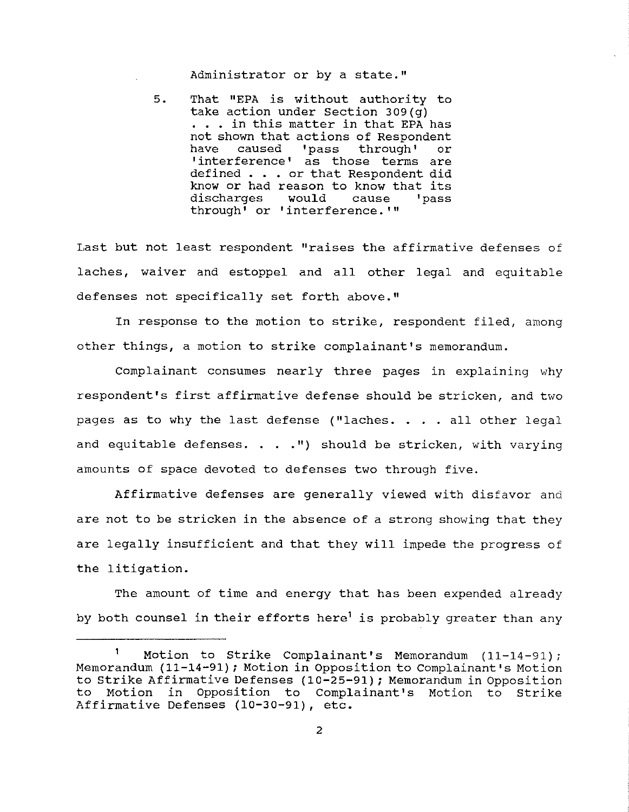Administrator or by a state."

5. That "EPA is without authority to take action under Section 309(g) . . . in this matter in that EPA has not shown that actions of Respondent<br>have caused 'pass through' or 'pass through' 'interference' as those terms are defined . . • or that Respondent did know or had reason to know that its<br>discharges would cause 'pass discharges through' or 'interference. '"

Last but not least respondent "raises the affirmative defenses of laches, waiver and estoppel and all other legal and equitable defenses not specifically set forth above."

In response to the motion to strike, respondent filed, among other things, a motion to strike complainant's memorandum.

Complainant consumes nearly three pages in explaining why respondent's first affirmative defense should be stricken, and two pages as to why the last defense ("laches. . . . all other legal and equitable defenses. . . . ") should be stricken, with varying amounts of space devoted to defenses two through five.

Affirmative defenses are generally viewed with disfavor and are not to be stricken in the absence of a strong showing that they are legally insufficient and that they will impede the progress of the litigation.

The amount of time and energy that has been expended already by both counsel in their efforts here<sup>1</sup> is probably greater than any

Motion to Strike Complainant's Memorandum (11-14-91); Memorandum (11-14-91); Motion in Opposition to Complainant's Motion to Strike Affirmative Defenses (10-25-91); Memorandum in Opposition to Motion in Opposition to Complainant's Motion to Strike Affirmative Defenses (10-30-91), etc.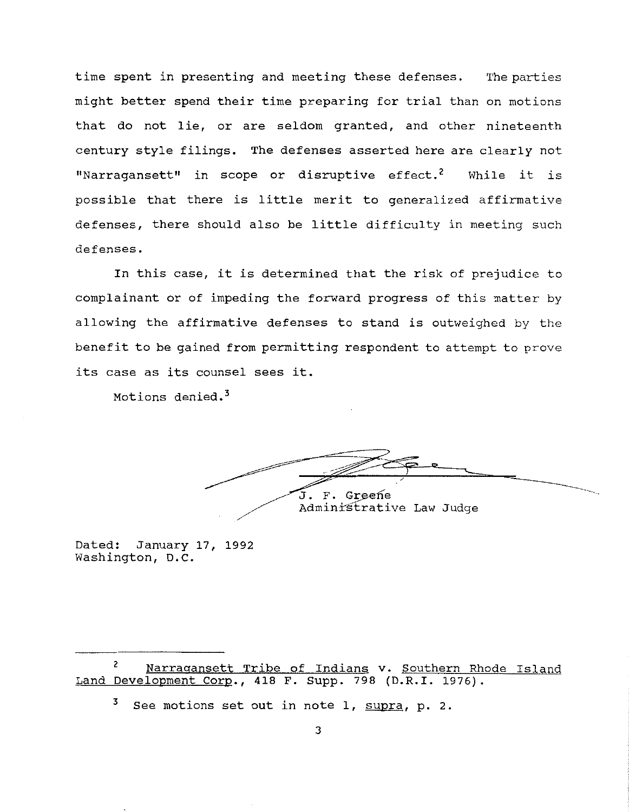time spent in presenting and meeting these defenses. The parties might better spend their time preparing for trial than on motions that do not lie, or are seldom granted, and other nineteenth century style filings. The defenses asserted here are clearly not "Narragansett" in scope or disruptive effect.<sup>2</sup> While it is possible that there is little merit to generalized affirmative defenses, there should also be little difficulty in meeting such defenses.

In this case, it is determined that the risk of prejudice to complainant or of impeding the forward progress of this matter by allowing the affirmative defenses to stand is outweighed by the benefit to be gained from permitting respondent to attempt to prove its case as its counsel sees it.

Motions denied. 3

J. F. Greene Administrative Law Judge

Dated: January 17, 1992 Washington, D.C.

<sup>&</sup>lt;sup>2</sup> Narragansett Tribe of Indians v. Southern Rhode Island Land Development Corp., 418 F. Supp. 798 (D.R.I. 1976).

<sup>3</sup> See motions set **out** in note 1, supra, p. 2.